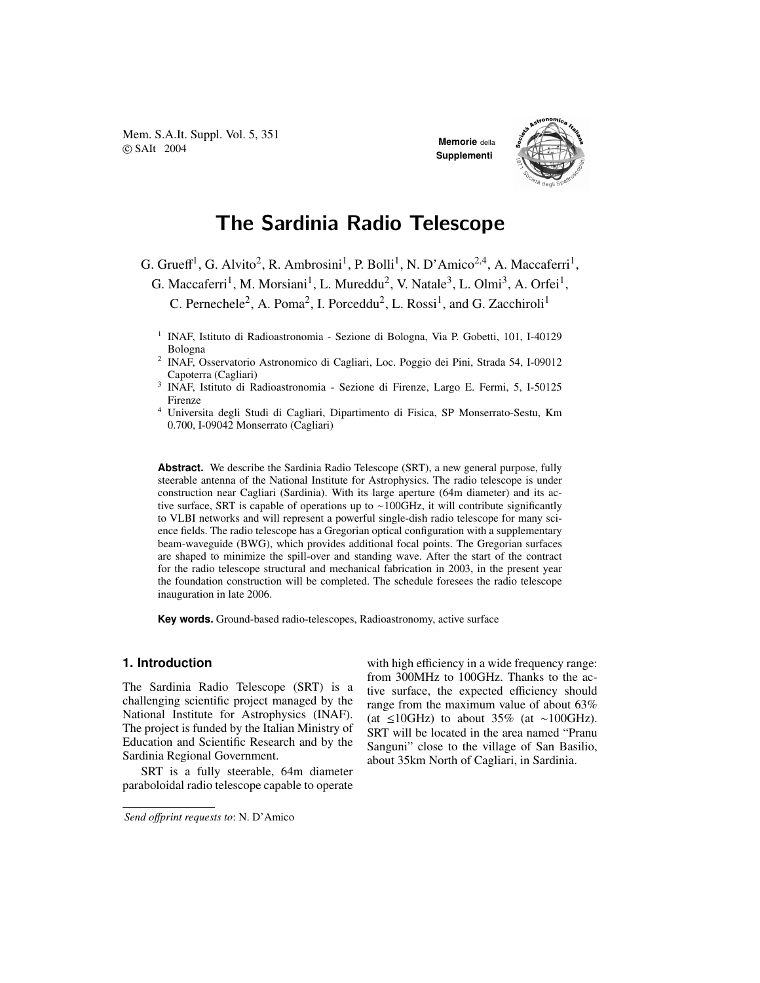Mem. S.A.It. Suppl. Vol. 5, 351 **COVERT 2004 Memorie** della **Memorie** della **Memorie** della **Memorie** della

**Supplementi**



# The Sardinia Radio Telescope

G. Grueff<sup>1</sup>, G. Alvito<sup>2</sup>, R. Ambrosini<sup>1</sup>, P. Bolli<sup>1</sup>, N. D'Amico<sup>2,4</sup>, A. Maccaferri<sup>1</sup>,

G. Maccaferri<sup>1</sup>, M. Morsiani<sup>1</sup>, L. Mureddu<sup>2</sup>, V. Natale<sup>3</sup>, L. Olmi<sup>3</sup>, A. Orfei<sup>1</sup>,

C. Pernechele<sup>2</sup>, A. Poma<sup>2</sup>, I. Porceddu<sup>2</sup>, L. Rossi<sup>1</sup>, and G. Zacchiroli<sup>1</sup>

<sup>1</sup> INAF, Istituto di Radioastronomia - Sezione di Bologna, Via P. Gobetti, 101, I-40129 Bologna

2 INAF, Osservatorio Astronomico di Cagliari, Loc. Poggio dei Pini, Strada 54, I-09012 Capoterra (Cagliari)

- 3 INAF, Istituto di Radioastronomia Sezione di Firenze, Largo E. Fermi, 5, I-50125 Firenze
- <sup>4</sup> Universita degli Studi di Cagliari, Dipartimento di Fisica, SP Monserrato-Sestu, Km 0.700, I-09042 Monserrato (Cagliari)

**Abstract.** We describe the Sardinia Radio Telescope (SRT), a new general purpose, fully steerable antenna of the National Institute for Astrophysics. The radio telescope is under construction near Cagliari (Sardinia). With its large aperture (64m diameter) and its active surface, SRT is capable of operations up to ∼100GHz, it will contribute significantly to VLBI networks and will represent a powerful single-dish radio telescope for many science fields. The radio telescope has a Gregorian optical configuration with a supplementary beam-waveguide (BWG), which provides additional focal points. The Gregorian surfaces are shaped to minimize the spill-over and standing wave. After the start of the contract for the radio telescope structural and mechanical fabrication in 2003, in the present year the foundation construction will be completed. The schedule foresees the radio telescope inauguration in late 2006.

**Key words.** Ground-based radio-telescopes, Radioastronomy, active surface

## **1. Introduction**

The Sardinia Radio Telescope (SRT) is a challenging scientific project managed by the National Institute for Astrophysics (INAF). The project is funded by the Italian Ministry of Education and Scientific Research and by the Sardinia Regional Government.

SRT is a fully steerable, 64m diameter paraboloidal radio telescope capable to operate with high efficiency in a wide frequency range: from 300MHz to 100GHz. Thanks to the active surface, the expected efficiency should range from the maximum value of about 63% (at ≤10GHz) to about 35% (at ∼100GHz). SRT will be located in the area named "Pranu Sanguni" close to the village of San Basilio, about 35km North of Cagliari, in Sardinia.

*Send o*ff*print requests to*: N. D'Amico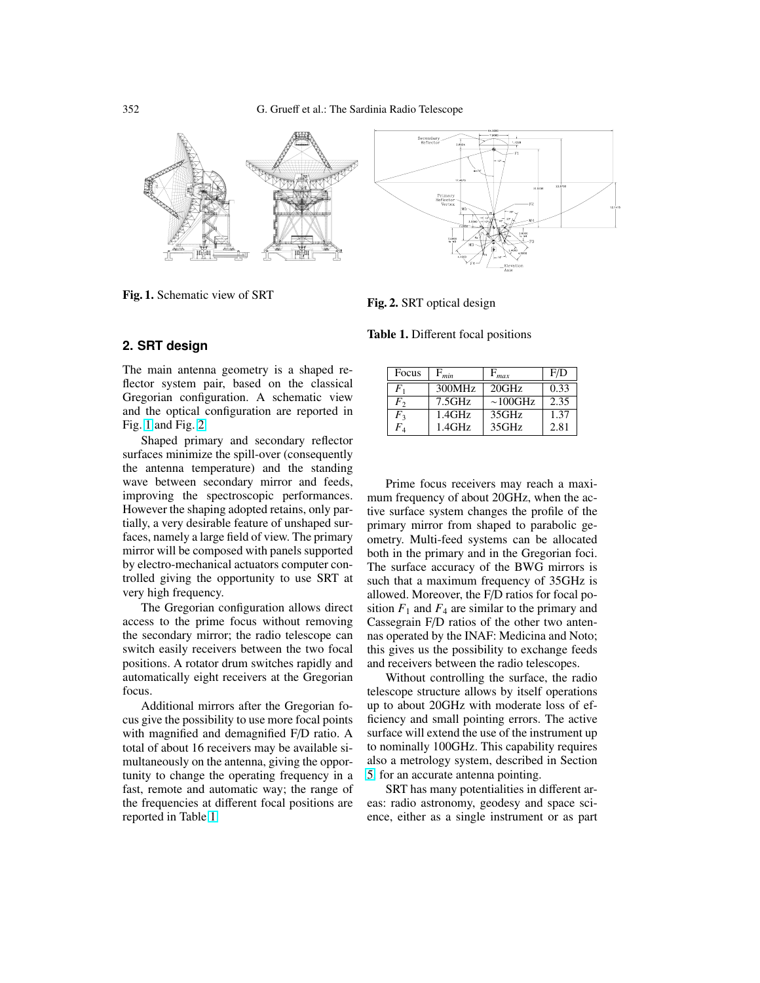

Fig. 1. Schematic view of SRT

Fig. 2. SRT optical design

Table 1. Different focal positions

#### **2. SRT design**

The main antenna geometry is a shaped reflector system pair, based on the classical Gregorian configuration. A schematic view and the optical configuration are reported in Fig. 1 and Fig. 2.

Shaped primary and secondary reflector surfaces minimize the spill-over (consequently the antenna temperature) and the standing wave between secondary mirror and feeds, improving the spectroscopic performances. However the shaping adopted retains, only partially, a very desirable feature of unshaped surfaces, namely a large field of view. The primary mirror will be composed with panels supported by electro-mechanical actuators computer controlled giving the opportunity to use SRT at very high frequency.

The Gregorian configuration allows direct access to the prime focus without removing the secondary mirror; the radio telescope can switch easily receivers between the two focal positions. A rotator drum switches rapidly and automatically eight receivers at the Gregorian focus.

Additional mirrors after the Gregorian focus give the possibility to use more focal points with magnified and demagnified F/D ratio. A total of about 16 receivers may be available simultaneously on the antenna, giving the opportunity to change the operating frequency in a fast, remote and automatic way; the range of the frequencies at different focal positions are reported in Table 1.

| Focus                      | $F_{min}$ | max            | F/D  |
|----------------------------|-----------|----------------|------|
| $F_{1}$                    | 300MHz    | 20GHz          | 0.33 |
| $F_{2}$                    | 7.5GHz    | $\sim 100$ GHz | 2.35 |
| $\mathit{F}_2$             | $1.4$ GHz | 35GHz          | 1.37 |
| $F_{\scriptscriptstyle A}$ | $1.4$ GHz | 35GHz          | 2.81 |

Prime focus receivers may reach a maximum frequency of about 20GHz, when the active surface system changes the profile of the primary mirror from shaped to parabolic geometry. Multi-feed systems can be allocated both in the primary and in the Gregorian foci. The surface accuracy of the BWG mirrors is such that a maximum frequency of 35GHz is allowed. Moreover, the F/D ratios for focal position  $F_1$  and  $F_4$  are similar to the primary and Cassegrain F/D ratios of the other two antennas operated by the INAF: Medicina and Noto; this gives us the possibility to exchange feeds and receivers between the radio telescopes.

Without controlling the surface, the radio telescope structure allows by itself operations up to about 20GHz with moderate loss of efficiency and small pointing errors. The active surface will extend the use of the instrument up to nominally 100GHz. This capability requires also a metrology system, described in Section [5,](#page-5-0) for an accurate antenna pointing.

SRT has many potentialities in different areas: radio astronomy, geodesy and space science, either as a single instrument or as part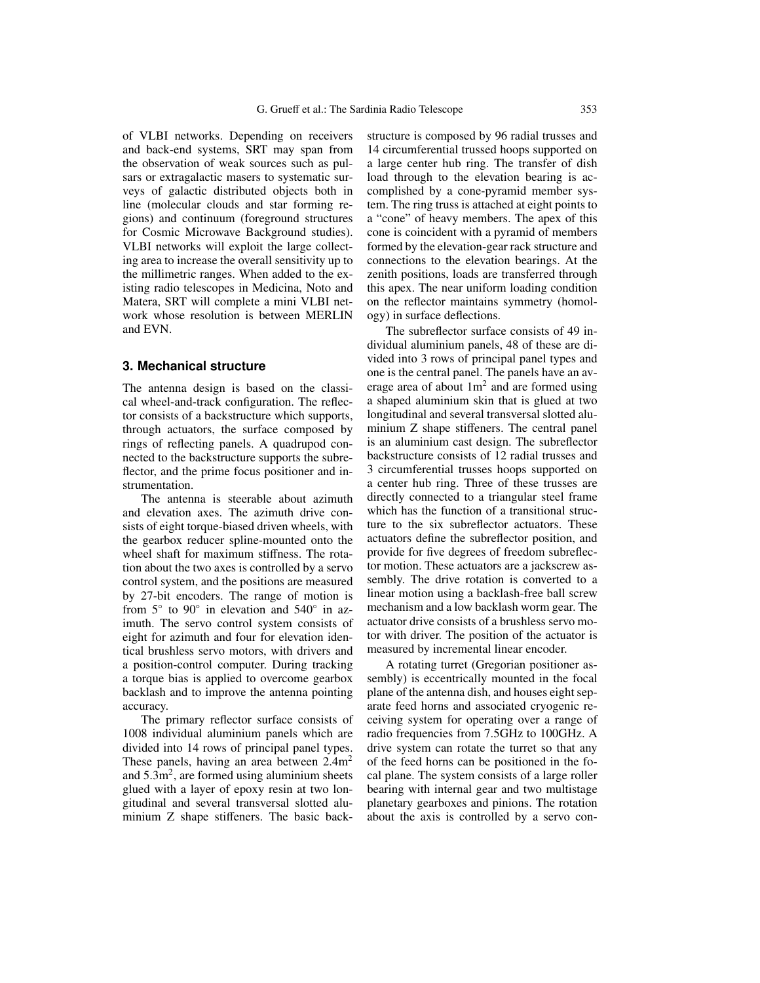of VLBI networks. Depending on receivers and back-end systems, SRT may span from the observation of weak sources such as pulsars or extragalactic masers to systematic surveys of galactic distributed objects both in line (molecular clouds and star forming regions) and continuum (foreground structures for Cosmic Microwave Background studies). VLBI networks will exploit the large collecting area to increase the overall sensitivity up to the millimetric ranges. When added to the existing radio telescopes in Medicina, Noto and Matera, SRT will complete a mini VLBI network whose resolution is between MERLIN and EVN.

#### **3. Mechanical structure**

The antenna design is based on the classical wheel-and-track configuration. The reflector consists of a backstructure which supports, through actuators, the surface composed by rings of reflecting panels. A quadrupod connected to the backstructure supports the subreflector, and the prime focus positioner and instrumentation.

The antenna is steerable about azimuth and elevation axes. The azimuth drive consists of eight torque-biased driven wheels, with the gearbox reducer spline-mounted onto the wheel shaft for maximum stiffness. The rotation about the two axes is controlled by a servo control system, and the positions are measured by 27-bit encoders. The range of motion is from  $5^\circ$  to  $90^\circ$  in elevation and  $540^\circ$  in azimuth. The servo control system consists of eight for azimuth and four for elevation identical brushless servo motors, with drivers and a position-control computer. During tracking a torque bias is applied to overcome gearbox backlash and to improve the antenna pointing accuracy.

The primary reflector surface consists of 1008 individual aluminium panels which are divided into 14 rows of principal panel types. These panels, having an area between  $2.4m<sup>2</sup>$ and  $5.3\text{m}^2$ , are formed using aluminium sheets glued with a layer of epoxy resin at two longitudinal and several transversal slotted aluminium Z shape stiffeners. The basic backstructure is composed by 96 radial trusses and 14 circumferential trussed hoops supported on a large center hub ring. The transfer of dish load through to the elevation bearing is accomplished by a cone-pyramid member system. The ring truss is attached at eight points to a "cone" of heavy members. The apex of this cone is coincident with a pyramid of members formed by the elevation-gear rack structure and connections to the elevation bearings. At the zenith positions, loads are transferred through this apex. The near uniform loading condition on the reflector maintains symmetry (homology) in surface deflections.

The subreflector surface consists of 49 individual aluminium panels, 48 of these are divided into 3 rows of principal panel types and one is the central panel. The panels have an average area of about  $1m^2$  and are formed using a shaped aluminium skin that is glued at two longitudinal and several transversal slotted aluminium Z shape stiffeners. The central panel is an aluminium cast design. The subreflector backstructure consists of 12 radial trusses and 3 circumferential trusses hoops supported on a center hub ring. Three of these trusses are directly connected to a triangular steel frame which has the function of a transitional structure to the six subreflector actuators. These actuators define the subreflector position, and provide for five degrees of freedom subreflector motion. These actuators are a jackscrew assembly. The drive rotation is converted to a linear motion using a backlash-free ball screw mechanism and a low backlash worm gear. The actuator drive consists of a brushless servo motor with driver. The position of the actuator is measured by incremental linear encoder.

A rotating turret (Gregorian positioner assembly) is eccentrically mounted in the focal plane of the antenna dish, and houses eight separate feed horns and associated cryogenic receiving system for operating over a range of radio frequencies from 7.5GHz to 100GHz. A drive system can rotate the turret so that any of the feed horns can be positioned in the focal plane. The system consists of a large roller bearing with internal gear and two multistage planetary gearboxes and pinions. The rotation about the axis is controlled by a servo con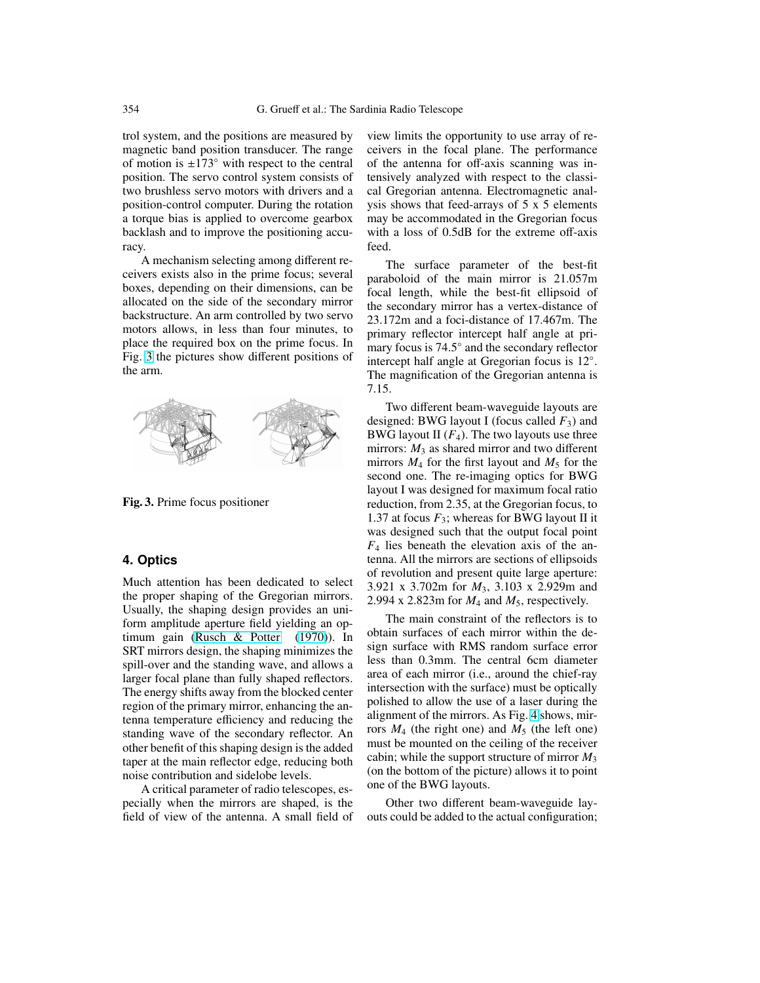trol system, and the positions are measured by magnetic band position transducer. The range of motion is  $\pm 173^\circ$  with respect to the central position. The servo control system consists of two brushless servo motors with drivers and a position-control computer. During the rotation a torque bias is applied to overcome gearbox backlash and to improve the positioning accuracy.

A mechanism selecting among different receivers exists also in the prime focus; several boxes, depending on their dimensions, can be allocated on the side of the secondary mirror backstructure. An arm controlled by two servo motors allows, in less than four minutes, to place the required box on the prime focus. In Fig. 3 the pictures show different positions of the arm.



Fig. 3. Prime focus positioner

## **4. Optics**

Much attention has been dedicated to select the proper shaping of the Gregorian mirrors. Usually, the shaping design provides an uniform amplitude aperture field yielding an optimum gain [\(Rusch & Potter](#page-5-0) [\(1970\)](#page-5-0)). In SRT mirrors design, the shaping minimizes the spill-over and the standing wave, and allows a larger focal plane than fully shaped reflectors. The energy shifts away from the blocked center region of the primary mirror, enhancing the antenna temperature efficiency and reducing the standing wave of the secondary reflector. An other benefit of this shaping design is the added taper at the main reflector edge, reducing both noise contribution and sidelobe levels.

A critical parameter of radio telescopes, especially when the mirrors are shaped, is the field of view of the antenna. A small field of view limits the opportunity to use array of receivers in the focal plane. The performance of the antenna for off-axis scanning was intensively analyzed with respect to the classical Gregorian antenna. Electromagnetic analysis shows that feed-arrays of 5 x 5 elements may be accommodated in the Gregorian focus with a loss of 0.5dB for the extreme off-axis feed.

The surface parameter of the best-fit paraboloid of the main mirror is 21.057m focal length, while the best-fit ellipsoid of the secondary mirror has a vertex-distance of 23.172m and a foci-distance of 17.467m. The primary reflector intercept half angle at primary focus is 74.5◦ and the secondary reflector intercept half angle at Gregorian focus is 12◦ . The magnification of the Gregorian antenna is 7.15.

Two different beam-waveguide layouts are designed: BWG layout I (focus called  $F_3$ ) and BWG layout II  $(F_4)$ . The two layouts use three mirrors:  $M_3$  as shared mirror and two different mirrors  $M_4$  for the first layout and  $M_5$  for the second one. The re-imaging optics for BWG layout I was designed for maximum focal ratio reduction, from 2.35, at the Gregorian focus, to 1.37 at focus  $F_3$ ; whereas for BWG layout II it was designed such that the output focal point  $F_4$  lies beneath the elevation axis of the antenna. All the mirrors are sections of ellipsoids of revolution and present quite large aperture: 3.921 x 3.702m for *M*3, 3.103 x 2.929m and 2.994 x 2.823m for *M*<sup>4</sup> and *M*5, respectively.

The main constraint of the reflectors is to obtain surfaces of each mirror within the design surface with RMS random surface error less than 0.3mm. The central 6cm diameter area of each mirror (i.e., around the chief-ray intersection with the surface) must be optically polished to allow the use of a laser during the alignment of the mirrors. As Fig. [4](#page-4-0) shows, mirrors  $M_4$  (the right one) and  $M_5$  (the left one) must be mounted on the ceiling of the receiver cabin; while the support structure of mirror *M*<sup>3</sup> (on the bottom of the picture) allows it to point one of the BWG layouts.

Other two different beam-waveguide layouts could be added to the actual configuration;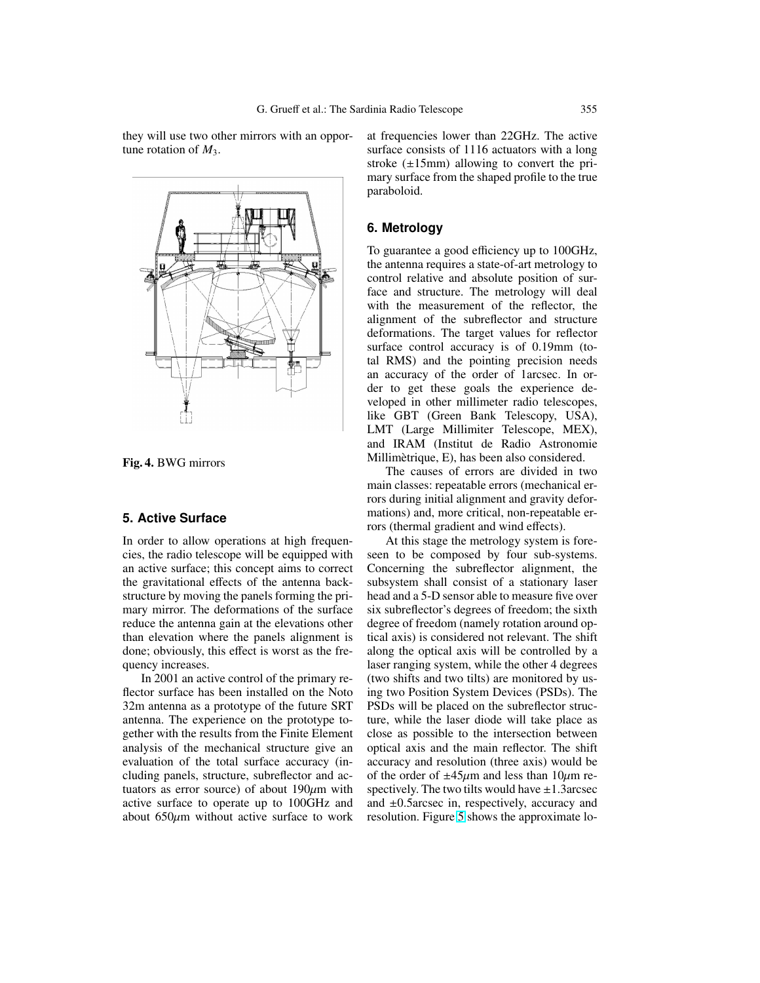<span id="page-4-0"></span>they will use two other mirrors with an opportune rotation of  $M_3$ .



Fig. 4. BWG mirrors

## **5. Active Surface**

In order to allow operations at high frequencies, the radio telescope will be equipped with an active surface; this concept aims to correct the gravitational effects of the antenna backstructure by moving the panels forming the primary mirror. The deformations of the surface reduce the antenna gain at the elevations other than elevation where the panels alignment is done; obviously, this effect is worst as the frequency increases.

In 2001 an active control of the primary reflector surface has been installed on the Noto 32m antenna as a prototype of the future SRT antenna. The experience on the prototype together with the results from the Finite Element analysis of the mechanical structure give an evaluation of the total surface accuracy (including panels, structure, subreflector and actuators as error source) of about  $190 \mu m$  with active surface to operate up to 100GHz and about  $650\mu m$  without active surface to work at frequencies lower than 22GHz. The active surface consists of 1116 actuators with a long stroke  $(\pm 15$ mm) allowing to convert the primary surface from the shaped profile to the true paraboloid.

### **6. Metrology**

To guarantee a good efficiency up to 100GHz, the antenna requires a state-of-art metrology to control relative and absolute position of surface and structure. The metrology will deal with the measurement of the reflector, the alignment of the subreflector and structure deformations. The target values for reflector surface control accuracy is of 0.19mm (total RMS) and the pointing precision needs an accuracy of the order of 1arcsec. In order to get these goals the experience developed in other millimeter radio telescopes, like GBT (Green Bank Telescopy, USA), LMT (Large Millimiter Telescope, MEX), and IRAM (Institut de Radio Astronomie Millimetrique, E), has been also considered. `

The causes of errors are divided in two main classes: repeatable errors (mechanical errors during initial alignment and gravity deformations) and, more critical, non-repeatable errors (thermal gradient and wind effects).

At this stage the metrology system is foreseen to be composed by four sub-systems. Concerning the subreflector alignment, the subsystem shall consist of a stationary laser head and a 5-D sensor able to measure five over six subreflector's degrees of freedom; the sixth degree of freedom (namely rotation around optical axis) is considered not relevant. The shift along the optical axis will be controlled by a laser ranging system, while the other 4 degrees (two shifts and two tilts) are monitored by using two Position System Devices (PSDs). The PSDs will be placed on the subreflector structure, while the laser diode will take place as close as possible to the intersection between optical axis and the main reflector. The shift accuracy and resolution (three axis) would be of the order of  $\pm 45\mu$ m and less than 10 $\mu$ m respectively. The two tilts would have  $\pm 1.3$  arcsec and ±0.5arcsec in, respectively, accuracy and resolution. Figure [5](#page-5-0) shows the approximate lo